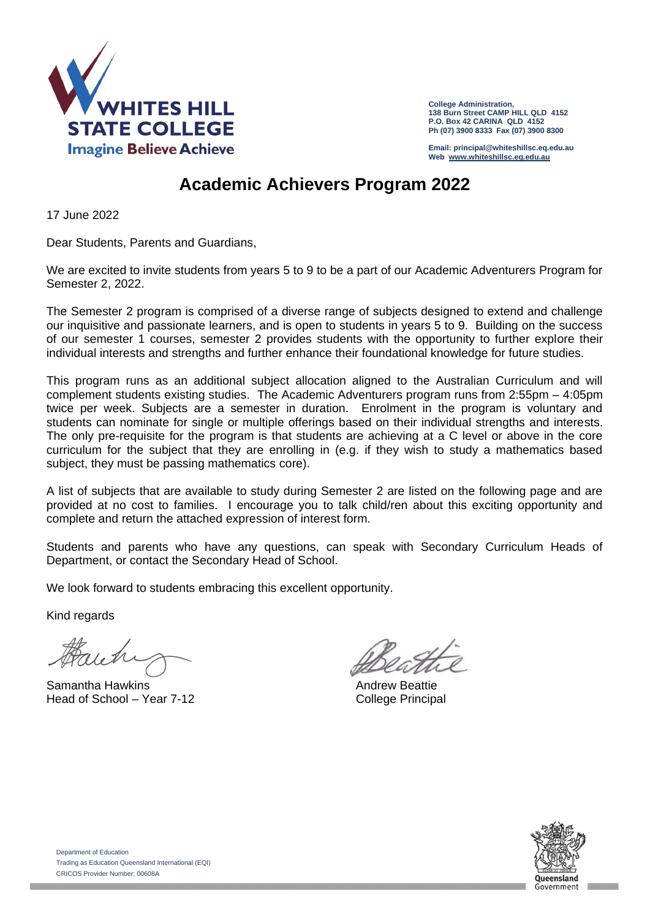

**College Administration, 138 Burn Street CAMP HILL QLD 4152 P.O. Box 42 CARINA QLD 4152 Ph (07) 3900 8333 Fax (07) 3900 8300**

**Email: principal@whiteshillsc.eq.edu.au Web [www.whiteshillsc.eq.edu.au](http://www.whiteshillsc.eq.edu.au/)**

## **Academic Achievers Program 2022**

17 June 2022

Dear Students, Parents and Guardians,

We are excited to invite students from years 5 to 9 to be a part of our Academic Adventurers Program for Semester 2, 2022.

The Semester 2 program is comprised of a diverse range of subjects designed to extend and challenge our inquisitive and passionate learners, and is open to students in years 5 to 9. Building on the success of our semester 1 courses, semester 2 provides students with the opportunity to further explore their individual interests and strengths and further enhance their foundational knowledge for future studies.

This program runs as an additional subject allocation aligned to the Australian Curriculum and will complement students existing studies. The Academic Adventurers program runs from 2:55pm – 4:05pm twice per week. Subjects are a semester in duration. Enrolment in the program is voluntary and students can nominate for single or multiple offerings based on their individual strengths and interests. The only pre-requisite for the program is that students are achieving at a C level or above in the core curriculum for the subject that they are enrolling in (e.g. if they wish to study a mathematics based subject, they must be passing mathematics core).

A list of subjects that are available to study during Semester 2 are listed on the following page and are provided at no cost to families. I encourage you to talk child/ren about this exciting opportunity and complete and return the attached expression of interest form.

Students and parents who have any questions, can speak with Secondary Curriculum Heads of Department, or contact the Secondary Head of School.

We look forward to students embracing this excellent opportunity.

Kind regards

Samantha Hawkins **Andrew Beattie Andrew Beattie Andrew Beattie** Head of School – Year 7-12 College Principal